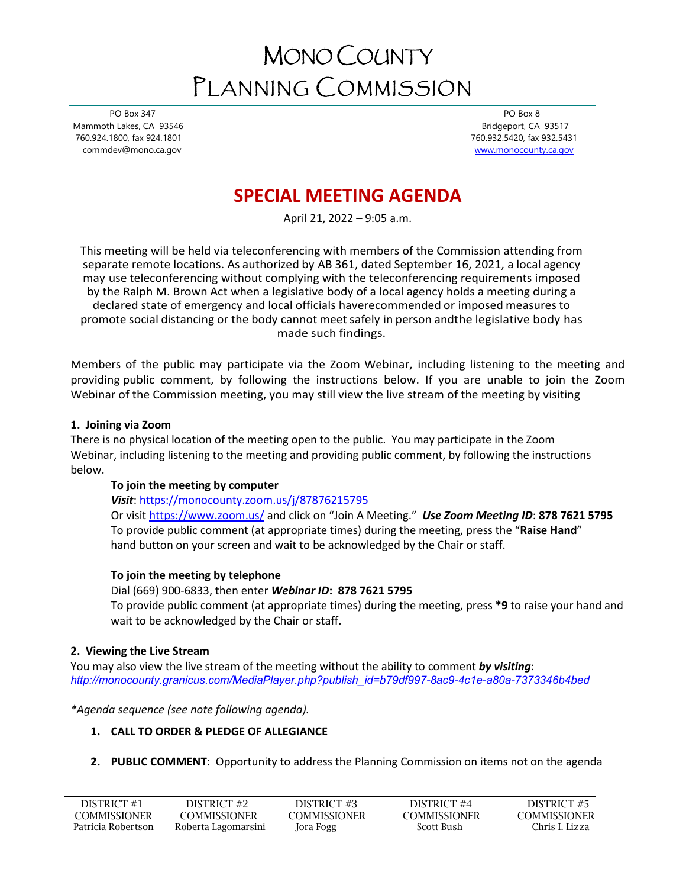# MONO COUNTY PLANNING COMMISSION

 PO Box 347 Mammoth Lakes, CA 93546 760.924.1800, fax 924.1801 commdev@mono.ca.gov

PO Box 8 Bridgeport, CA 93517 760.932.5420, fax 932.5431 [www.monocounty.ca.gov](http://www.monocounty.ca.gov/) 

# **SPECIAL MEETING AGENDA**

April 21, 2022 – 9:05 a.m.

This meeting will be held via teleconferencing with members of the Commission attending from separate remote locations. As authorized by AB 361, dated September 16, 2021, a local agency may use teleconferencing without complying with the teleconferencing requirements imposed by the Ralph M. Brown Act when a legislative body of a local agency holds a meeting during a declared state of emergency and local officials haverecommended or imposed measures to promote social distancing or the body cannot meetsafely in person andthe legislative body has made such findings.

Members of the public may participate via the Zoom Webinar, including listening to the meeting and providing public comment, by following the instructions below. If you are unable to join the Zoom Webinar of the Commission meeting, you may still view the live stream of the meeting by visiting

# **1. Joining via Zoom**

There is no physical location of the meeting open to the public. You may participate in the Zoom Webinar, including listening to the meeting and providing public comment, by following the instructions below.

# **To join the meeting by computer**

*Visit*[: https://monocounty.zoom.us/j/87876215795](https://monocounty.zoom.us/j/87876215795) 

Or visit<https://www.zoom.us/> and click on "Join A Meeting." *Use Zoom Meeting ID*: **878 7621 5795** To provide public comment (at appropriate times) during the meeting, press the "**Raise Hand**" hand button on your screen and wait to be acknowledged by the Chair or staff.

# **To join the meeting by telephone**

## Dial (669) 900-6833, then enter *Webinar ID***: 878 7621 5795**

To provide public comment (at appropriate times) during the meeting, press **\*9** to raise your hand and wait to be acknowledged by the Chair or staff.

## **2. Viewing the Live Stream**

You may also view the live stream of the meeting without the ability to comment *by visiting*: *[http://monocounty.granicus.com/MediaPlayer.php?publish\\_id=b79df997-8ac9-4c1e-a80a-7373346b4bed](http://monocounty.granicus.com/MediaPlayer.php?publish_id=b79df997-8ac9-4c1e-a80a-7373346b4bed)*

*\*Agenda sequence (see note following agenda).*

# **1. CALL TO ORDER & PLEDGE OF ALLEGIANCE**

# **2. PUBLIC COMMENT**: Opportunity to address the Planning Commission on items not on the agenda

| DISTRICT #1        | DISTRICT #2         | DISTRICT #3  | DISTRICT #4         | DISTRICT #5         |
|--------------------|---------------------|--------------|---------------------|---------------------|
| COMMISSIONER       | COMMISSIONER        | COMMISSIONER | <b>COMMISSIONER</b> | <b>COMMISSIONER</b> |
| Patricia Robertson | Roberta Lagomarsini | Jora Fogg    | Scott Bush          | Chris I. Lizza      |